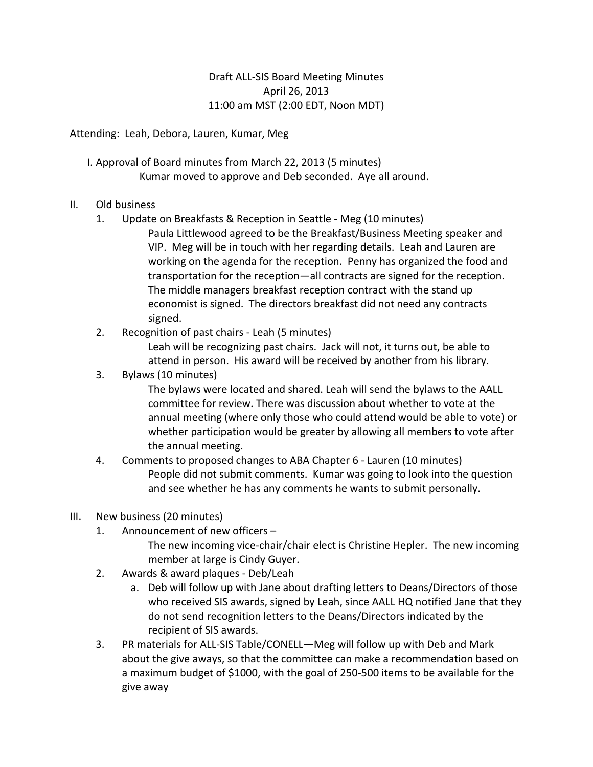## Draft ALL-SIS Board Meeting Minutes April 26, 2013 11:00 am MST (2:00 EDT, Noon MDT)

Attending: Leah, Debora, Lauren, Kumar, Meg

- I. Approval of Board minutes from March 22, 2013 (5 minutes) Kumar moved to approve and Deb seconded. Aye all around.
- II. Old business
	- 1. Update on Breakfasts & Reception in Seattle Meg (10 minutes)
		- Paula Littlewood agreed to be the Breakfast/Business Meeting speaker and VIP. Meg will be in touch with her regarding details. Leah and Lauren are working on the agenda for the reception. Penny has organized the food and transportation for the reception—all contracts are signed for the reception. The middle managers breakfast reception contract with the stand up economist is signed. The directors breakfast did not need any contracts signed.
	- 2. Recognition of past chairs Leah (5 minutes)

Leah will be recognizing past chairs. Jack will not, it turns out, be able to attend in person. His award will be received by another from his library.

3. Bylaws (10 minutes)

The bylaws were located and shared. Leah will send the bylaws to the AALL committee for review. There was discussion about whether to vote at the annual meeting (where only those who could attend would be able to vote) or whether participation would be greater by allowing all members to vote after the annual meeting.

- 4. Comments to proposed changes to ABA Chapter 6 Lauren (10 minutes) People did not submit comments. Kumar was going to look into the question and see whether he has any comments he wants to submit personally.
- III. New business (20 minutes)
	- 1. Announcement of new officers
		- The new incoming vice-chair/chair elect is Christine Hepler. The new incoming member at large is Cindy Guyer.
	- 2. Awards & award plaques Deb/Leah
		- a. Deb will follow up with Jane about drafting letters to Deans/Directors of those who received SIS awards, signed by Leah, since AALL HQ notified Jane that they do not send recognition letters to the Deans/Directors indicated by the recipient of SIS awards.
	- 3. PR materials for ALL-SIS Table/CONELL—Meg will follow up with Deb and Mark about the give aways, so that the committee can make a recommendation based on a maximum budget of \$1000, with the goal of 250-500 items to be available for the give away